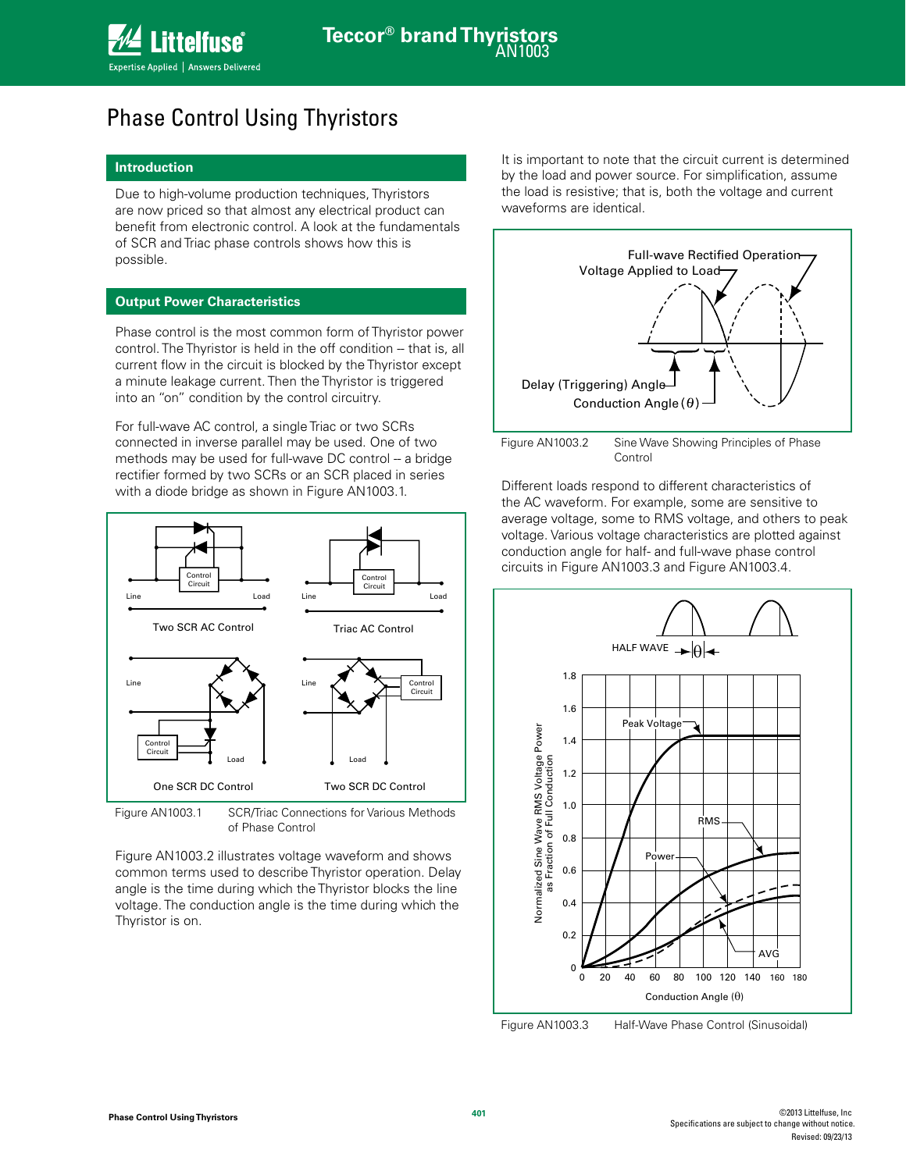### Phase Control Using Thyristors

### **Introduction**

Due to high-volume production techniques, Thyristors are now priced so that almost any electrical product can benefit from electronic control. A look at the fundamentals of SCR and Triac phase controls shows how this is possible.

### **Output Power Characteristics**

Phase control is the most common form of Thyristor power control. The Thyristor is held in the off condition -- that is, all current flow in the circuit is blocked by the Thyristor except a minute leakage current. Then the Thyristor is triggered into an "on" condition by the control circuitry.

For full-wave AC control, a single Triac or two SCRs connected in inverse parallel may be used. One of two methods may be used for full-wave DC control -- a bridge rectifier formed by two SCRs or an SCR placed in series with a diode bridge as shown in Figure AN1003.1.



Figure AN1003.1 SCR/Triac Connections for Various Methods of Phase Control

Figure AN1003.2 illustrates voltage waveform and shows common terms used to describe Thyristor operation. Delay angle is the time during which the Thyristor blocks the line voltage. The conduction angle is the time during which the Thyristor is on.

It is important to note that the circuit current is determined by the load and power source. For simplification, assume the load is resistive; that is, both the voltage and current waveforms are identical.



Figure AN1003.2 Sine Wave Showing Principles of Phase Control

Different loads respond to different characteristics of the AC waveform. For example, some are sensitive to average voltage, some to RMS voltage, and others to peak voltage. Various voltage characteristics are plotted against conduction angle for half- and full-wave phase control circuits in Figure AN1003.3 and Figure AN1003.4.



Figure AN1003.3 Half-Wave Phase Control (Sinusoidal)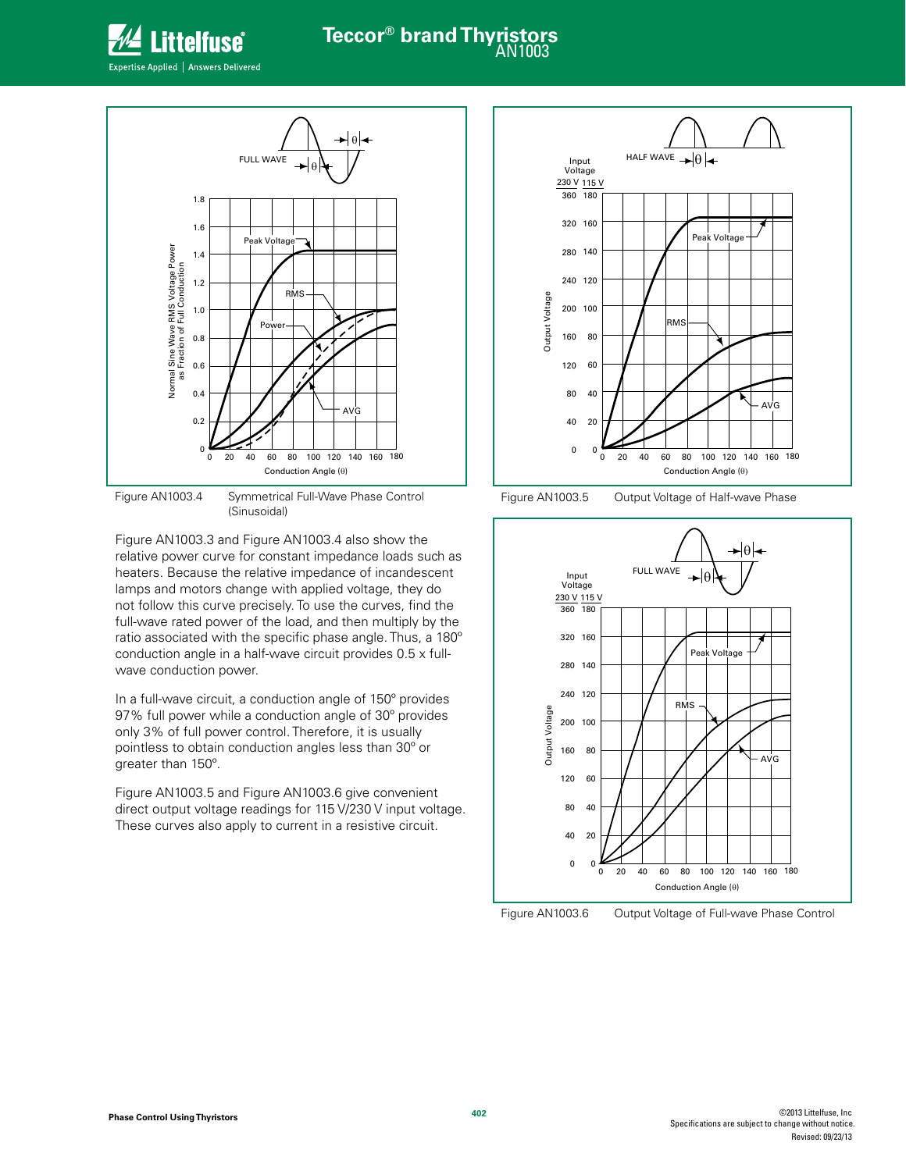

# **Teccor® brand Thyristors**

Expertise Applied | Answers Delivered



Figure AN1003.4 Symmetrical Full-Wave Phase Control (Sinusoidal)

wave conduction power.

Figure AN1003.3 and Figure AN1003.4 also show the relative power curve for constant impedance loads such as heaters. Because the relative impedance of incandescent lamps and motors change with applied voltage, they do not follow this curve precisely. To use the curves, find the full-wave rated power of the load, and then multiply by the ratio associated with the specific phase angle. Thus, a 180º conduction angle in a half-wave circuit provides 0.5 x full-

In a full-wave circuit, a conduction angle of 150º provides 97% full power while a conduction angle of 30º provides only 3% of full power control. Therefore, it is usually pointless to obtain conduction angles less than 30º or greater than 150º.

Figure AN1003.5 and Figure AN1003.6 give convenient direct output voltage readings for 115 V/230 V input voltage. These curves also apply to current in a resistive circuit.



Figure AN1003.5 Output Voltage of Half-wave Phase



Figure AN1003.6 Output Voltage of Full-wave Phase Control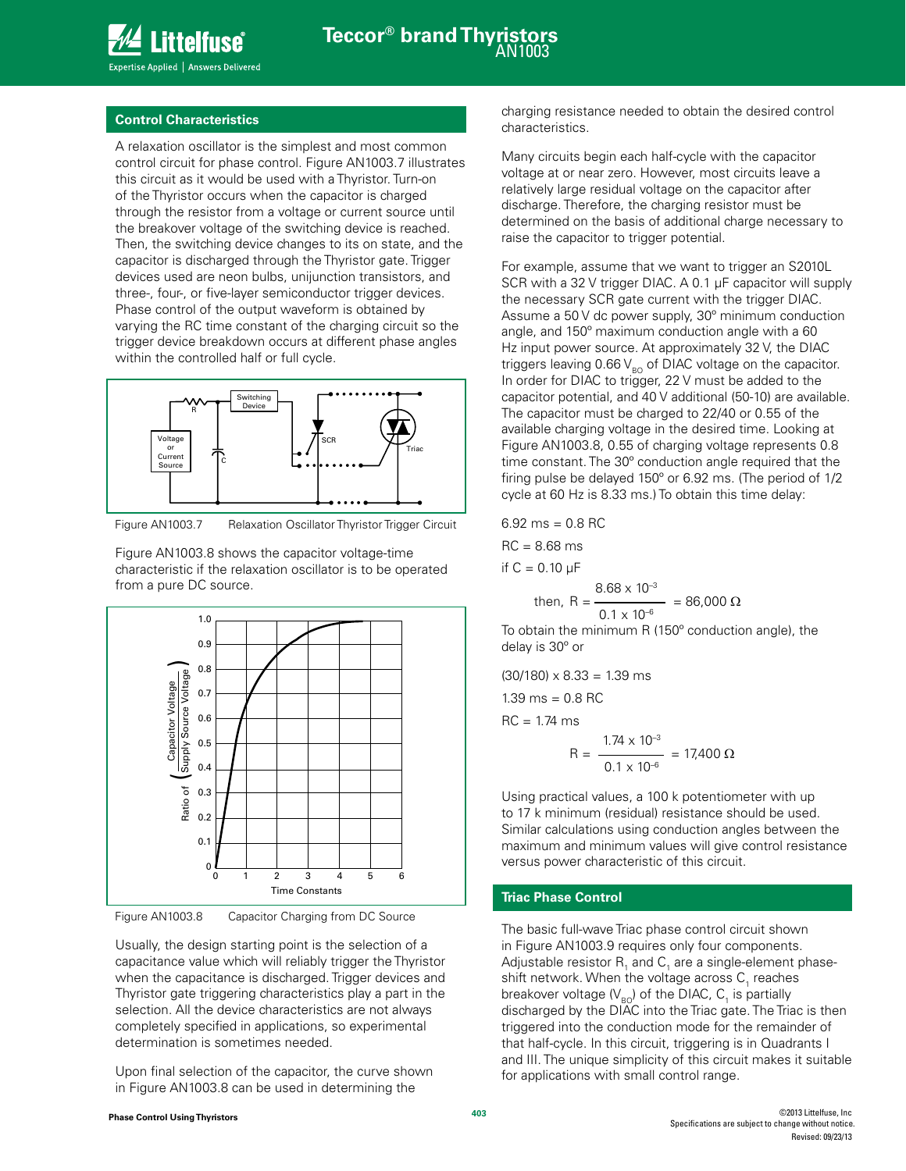

#### **Control Characteristics**

A relaxation oscillator is the simplest and most common control circuit for phase control. Figure AN1003.7 illustrates this circuit as it would be used with a Thyristor. Turn-on of the Thyristor occurs when the capacitor is charged through the resistor from a voltage or current source until the breakover voltage of the switching device is reached. Then, the switching device changes to its on state, and the capacitor is discharged through the Thyristor gate. Trigger devices used are neon bulbs, unijunction transistors, and three-, four-, or five-layer semiconductor trigger devices. Phase control of the output waveform is obtained by varying the RC time constant of the charging circuit so the trigger device breakdown occurs at different phase angles within the controlled half or full cycle.



Figure AN1003.7 Relaxation Oscillator Thyristor Trigger Circuit

Figure AN1003.8 shows the capacitor voltage-time characteristic if the relaxation oscillator is to be operated from a pure DC source.



Figure AN1003.8 Capacitor Charging from DC Source

Usually, the design starting point is the selection of a capacitance value which will reliably trigger the Thyristor when the capacitance is discharged. Trigger devices and Thyristor gate triggering characteristics play a part in the selection. All the device characteristics are not always completely specified in applications, so experimental determination is sometimes needed.

Upon final selection of the capacitor, the curve shown in Figure AN1003.8 can be used in determining the

charging resistance needed to obtain the desired control characteristics.

Many circuits begin each half-cycle with the capacitor voltage at or near zero. However, most circuits leave a relatively large residual voltage on the capacitor after discharge. Therefore, the charging resistor must be determined on the basis of additional charge necessary to raise the capacitor to trigger potential.

For example, assume that we want to trigger an S2010L SCR with a 32 V trigger DIAC. A 0.1 µF capacitor will supply the necessary SCR gate current with the trigger DIAC. Assume a 50 V dc power supply, 30º minimum conduction angle, and 150º maximum conduction angle with a 60 Hz input power source. At approximately 32 V, the DIAC triggers leaving 0.66  $V_{BO}$  of DIAC voltage on the capacitor. In order for DIAC to trigger, 22 V must be added to the capacitor potential, and 40 V additional (50-10) are available. The capacitor must be charged to 22/40 or 0.55 of the available charging voltage in the desired time. Looking at Figure AN1003.8, 0.55 of charging voltage represents 0.8 time constant. The 30º conduction angle required that the firing pulse be delayed 150º or 6.92 ms. (The period of 1/2 cycle at 60 Hz is 8.33 ms.) To obtain this time delay:

6.92 ms = 0.8 RC  
RC = 8.68 ms  
if C = 0.10 μF  
then, R = 
$$
\frac{8.68 \times 10^{-3}}{0.1 \times 10^{-6}} = 86,000 Ω
$$

To obtain the minimum R (150º conduction angle), the delay is 30º or

 $(30/180) \times 8.33 = 1.39$  ms  $1.39 \text{ ms} = 0.8 \text{ RC}$  $RC = 1.74$  ms

$$
R = \frac{1.74 \times 10^{-3}}{0.1 \times 10^{-6}} = 17,400 \ \Omega
$$

Using practical values, a 100 k potentiometer with up to 17 k minimum (residual) resistance should be used. Similar calculations using conduction angles between the maximum and minimum values will give control resistance versus power characteristic of this circuit.

### **Triac Phase Control**

The basic full-wave Triac phase control circuit shown in Figure AN1003.9 requires only four components. Adjustable resistor  $\mathsf{R}_{\mathsf{1}}$  and  $\mathsf{C}_{\mathsf{1}}$  are a single-element phaseshift network. When the voltage across  $\mathsf{C}_\text{\tiny{1}}$  reaches breakover voltage ( $\mathsf{V}_{\mathsf{BO}}$ ) of the DIAC, C<sub>1</sub> is partially discharged by the DIAC into the Triac gate. The Triac is then triggered into the conduction mode for the remainder of that half-cycle. In this circuit, triggering is in Quadrants I and III. The unique simplicity of this circuit makes it suitable for applications with small control range.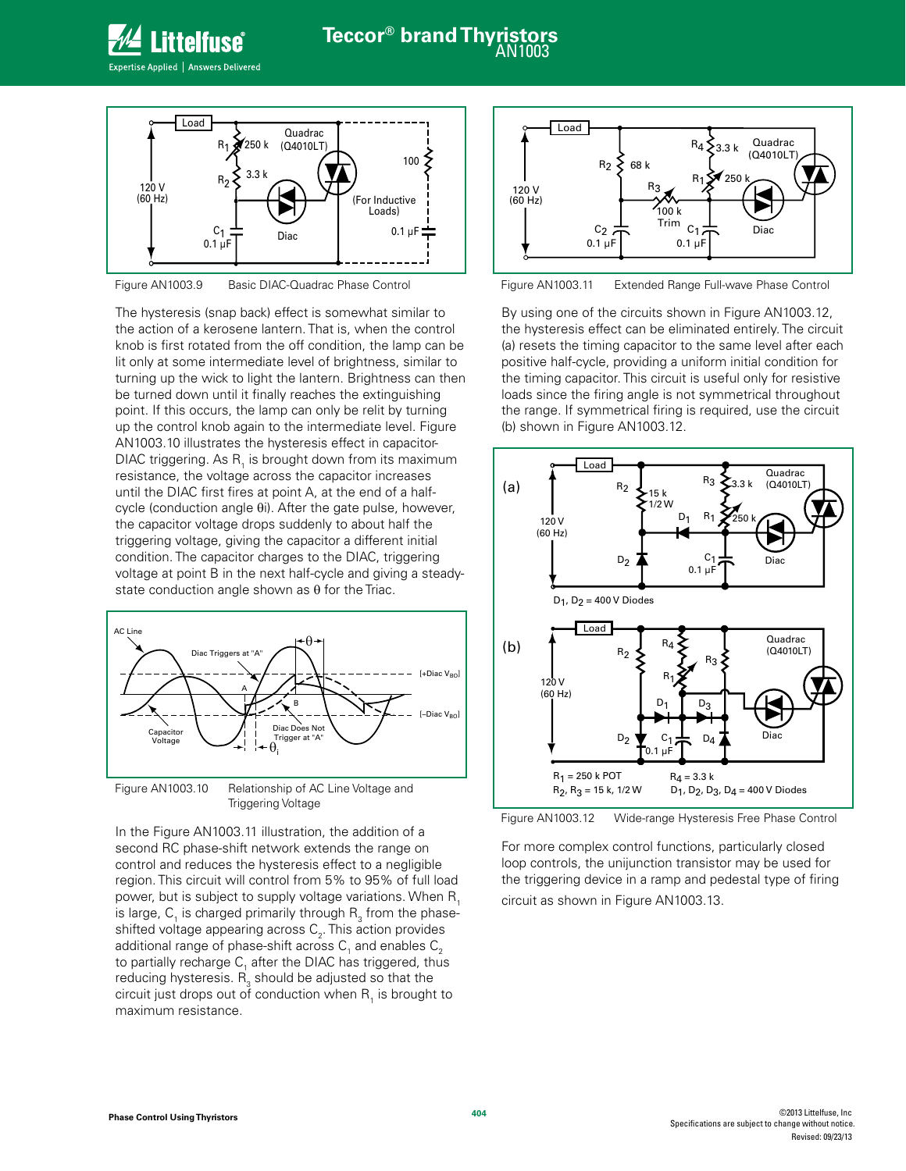



Figure AN1003.9 Basic DIAC-Quadrac Phase Control

The hysteresis (snap back) effect is somewhat similar to the action of a kerosene lantern. That is, when the control knob is first rotated from the off condition, the lamp can be lit only at some intermediate level of brightness, similar to turning up the wick to light the lantern. Brightness can then be turned down until it finally reaches the extinguishing point. If this occurs, the lamp can only be relit by turning up the control knob again to the intermediate level. Figure AN1003.10 illustrates the hysteresis effect in capacitor-DIAC triggering. As  $R_1$  is brought down from its maximum resistance, the voltage across the capacitor increases until the DIAC first fires at point A, at the end of a halfcycle (conduction angle θi). After the gate pulse, however, the capacitor voltage drops suddenly to about half the triggering voltage, giving the capacitor a different initial condition. The capacitor charges to the DIAC, triggering voltage at point B in the next half-cycle and giving a steadystate conduction angle shown as  $\theta$  for the Triac.



Figure AN1003.10 Relationship of AC Line Voltage and Triggering Voltage

In the Figure AN1003.11 illustration, the addition of a second RC phase-shift network extends the range on control and reduces the hysteresis effect to a negligible region. This circuit will control from 5% to 95% of full load power, but is subject to supply voltage variations. When R<sub>1</sub> is large,  $\mathsf{C}_\mathsf{1}$  is charged primarily through  $\mathsf{R}^\mathsf{2}_\mathsf{3}$  from the phaseshifted voltage appearing across  $\mathsf{C}_2^{}$ . This action provides additional range of phase-shift across  $\mathsf{C}_\text{\tiny{1}}$  and enables  $\mathsf{C}_\text{\tiny{2}}$ to partially recharge  $\mathsf{C}_1$  after the DIAC has triggered, thus reducing hysteresis.  $\mathsf{R}_{\mathsf{3}}$  should be adjusted so that the circuit just drops out of conduction when  $\mathsf{R}_{\scriptscriptstyle{1}}$  is brought to maximum resistance.



Figure AN1003.11 Extended Range Full-wave Phase Control

By using one of the circuits shown in Figure AN1003.12, the hysteresis effect can be eliminated entirely. The circuit (a) resets the timing capacitor to the same level after each positive half-cycle, providing a uniform initial condition for the timing capacitor. This circuit is useful only for resistive loads since the firing angle is not symmetrical throughout the range. If symmetrical firing is required, use the circuit (b) shown in Figure AN1003.12.



Figure AN1003.12 Wide-range Hysteresis Free Phase Control

For more complex control functions, particularly closed loop controls, the unijunction transistor may be used for the triggering device in a ramp and pedestal type of firing circuit as shown in Figure AN1003.13.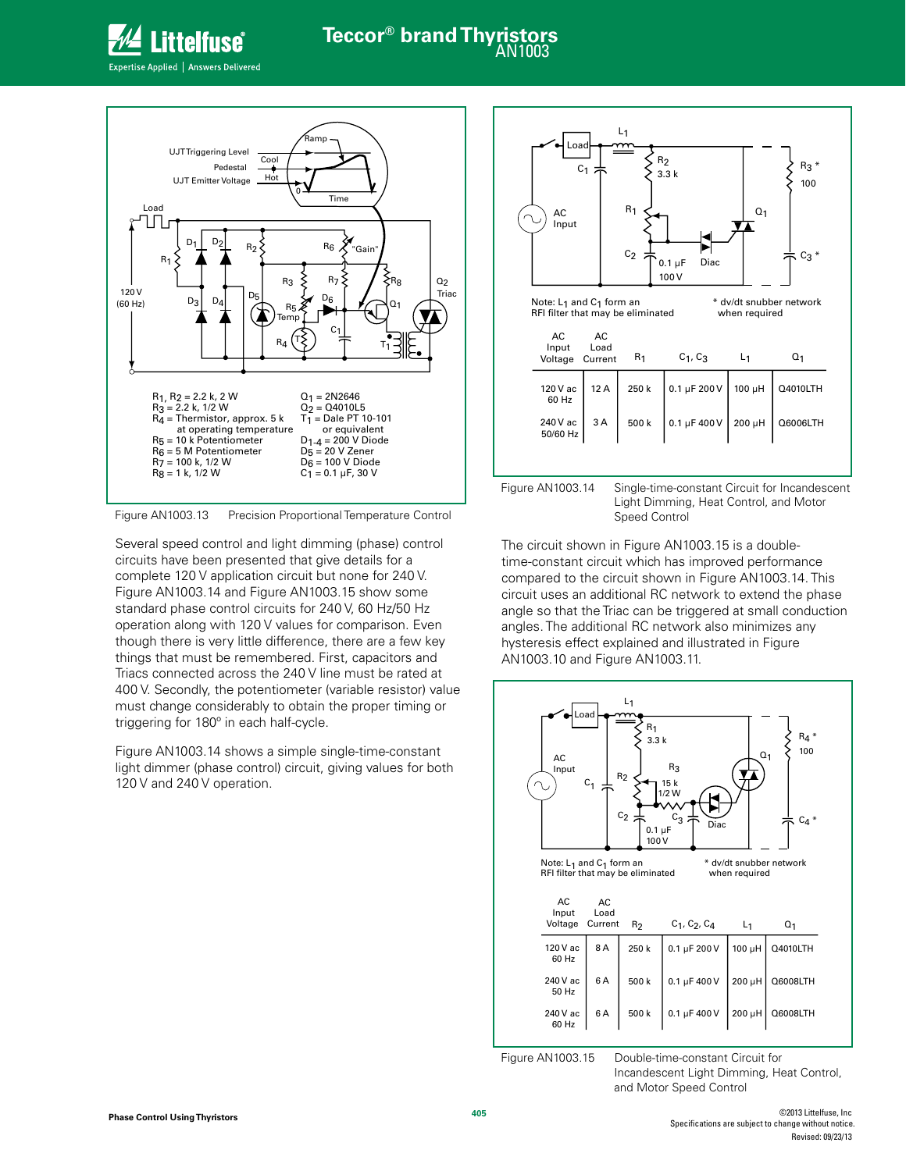

## **Teccor® brand Thyristors**





Figure AN1003.13 Precision Proportional Temperature Control

Several speed control and light dimming (phase) control circuits have been presented that give details for a complete 120 V application circuit but none for 240 V. Figure AN1003.14 and Figure AN1003.15 show some standard phase control circuits for 240 V, 60 Hz/50 Hz operation along with 120 V values for comparison. Even though there is very little difference, there are a few key things that must be remembered. First, capacitors and Triacs connected across the 240 V line must be rated at 400 V. Secondly, the potentiometer (variable resistor) value must change considerably to obtain the proper timing or triggering for 180º in each half-cycle.

Figure AN1003.14 shows a simple single-time-constant light dimmer (phase control) circuit, giving values for both 120 V and 240 V operation.



The circuit shown in Figure AN1003.15 is a doubletime-constant circuit which has improved performance compared to the circuit shown in Figure AN1003.14. This circuit uses an additional RC network to extend the phase angle so that the Triac can be triggered at small conduction angles. The additional RC network also minimizes any hysteresis effect explained and illustrated in Figure AN1003.10 and Figure AN1003.11.



Incandescent Light Dimming, Heat Control, and Motor Speed Control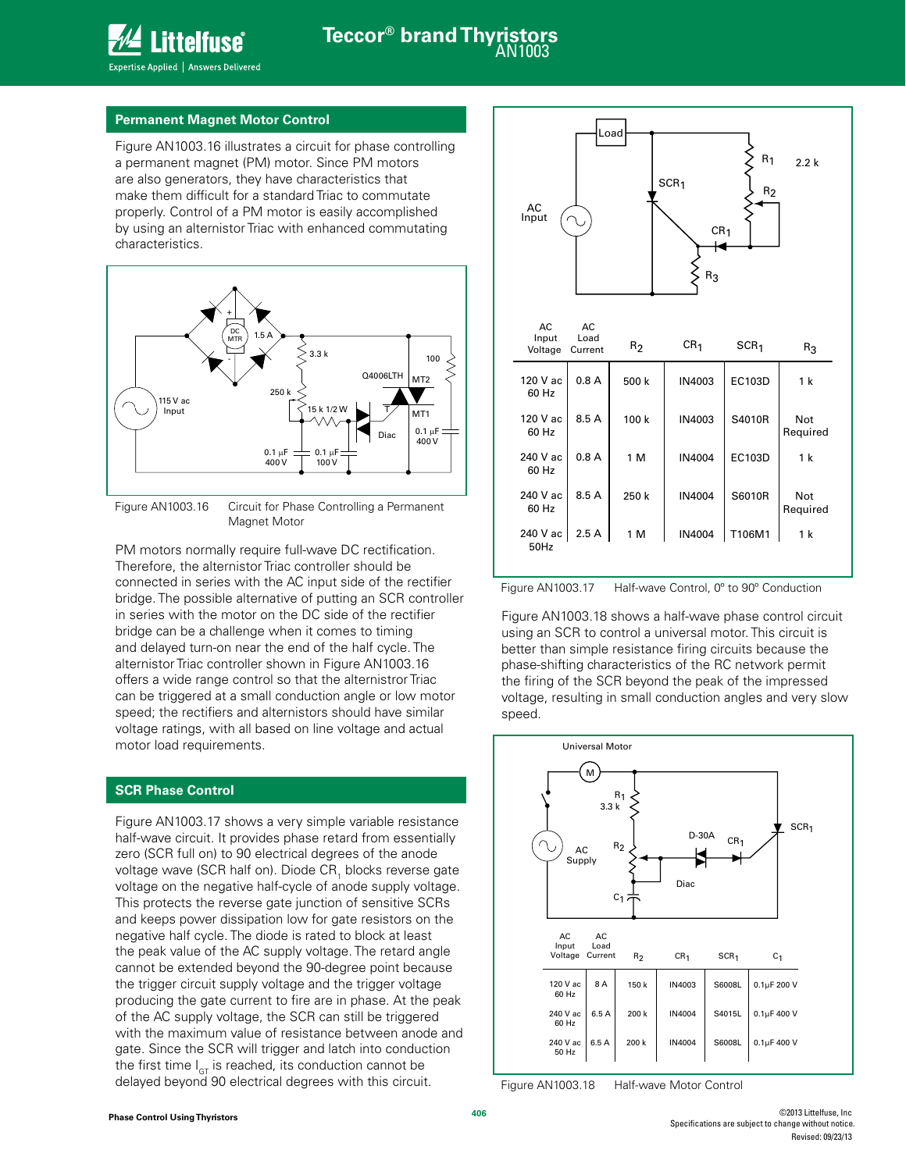

### **Permanent Magnet Motor Control**

Figure AN1003.16 illustrates a circuit for phase controlling a permanent magnet (PM) motor. Since PM motors are also generators, they have characteristics that make them difficult for a standard Triac to commutate properly. Control of a PM motor is easily accomplished by using an alternistor Triac with enhanced commutating characteristics.



Figure AN1003.16 Circuit for Phase Controlling a Permanent Magnet Motor

PM motors normally require full-wave DC rectification. Therefore, the alternistor Triac controller should be connected in series with the AC input side of the rectifier bridge. The possible alternative of putting an SCR controller in series with the motor on the DC side of the rectifier bridge can be a challenge when it comes to timing and delayed turn-on near the end of the half cycle. The alternistor Triac controller shown in Figure AN1003.16 offers a wide range control so that the alternistror Triac can be triggered at a small conduction angle or low motor speed; the rectifiers and alternistors should have similar voltage ratings, with all based on line voltage and actual motor load requirements.

### **SCR Phase Control**

Figure AN1003.17 shows a very simple variable resistance half-wave circuit. It provides phase retard from essentially zero (SCR full on) to 90 electrical degrees of the anode voltage wave (SCR half on). Diode CR<sub>1</sub> blocks reverse gate voltage on the negative half-cycle of anode supply voltage. This protects the reverse gate junction of sensitive SCRs and keeps power dissipation low for gate resistors on the negative half cycle. The diode is rated to block at least the peak value of the AC supply voltage. The retard angle cannot be extended beyond the 90-degree point because the trigger circuit supply voltage and the trigger voltage producing the gate current to fire are in phase. At the peak of the AC supply voltage, the SCR can still be triggered with the maximum value of resistance between anode and gate. Since the SCR will trigger and latch into conduction the first time  $I_{GT}$  is reached, its conduction cannot be delayed beyond 90 electrical degrees with this circuit.



Figure AN1003.17 Half-wave Control, 0º to 90º Conduction

Figure AN1003.18 shows a half-wave phase control circuit using an SCR to control a universal motor. This circuit is better than simple resistance firing circuits because the phase-shifting characteristics of the RC network permit the firing of the SCR beyond the peak of the impressed voltage, resulting in small conduction angles and very slow speed.



Figure AN1003.18 Half-wave Motor Control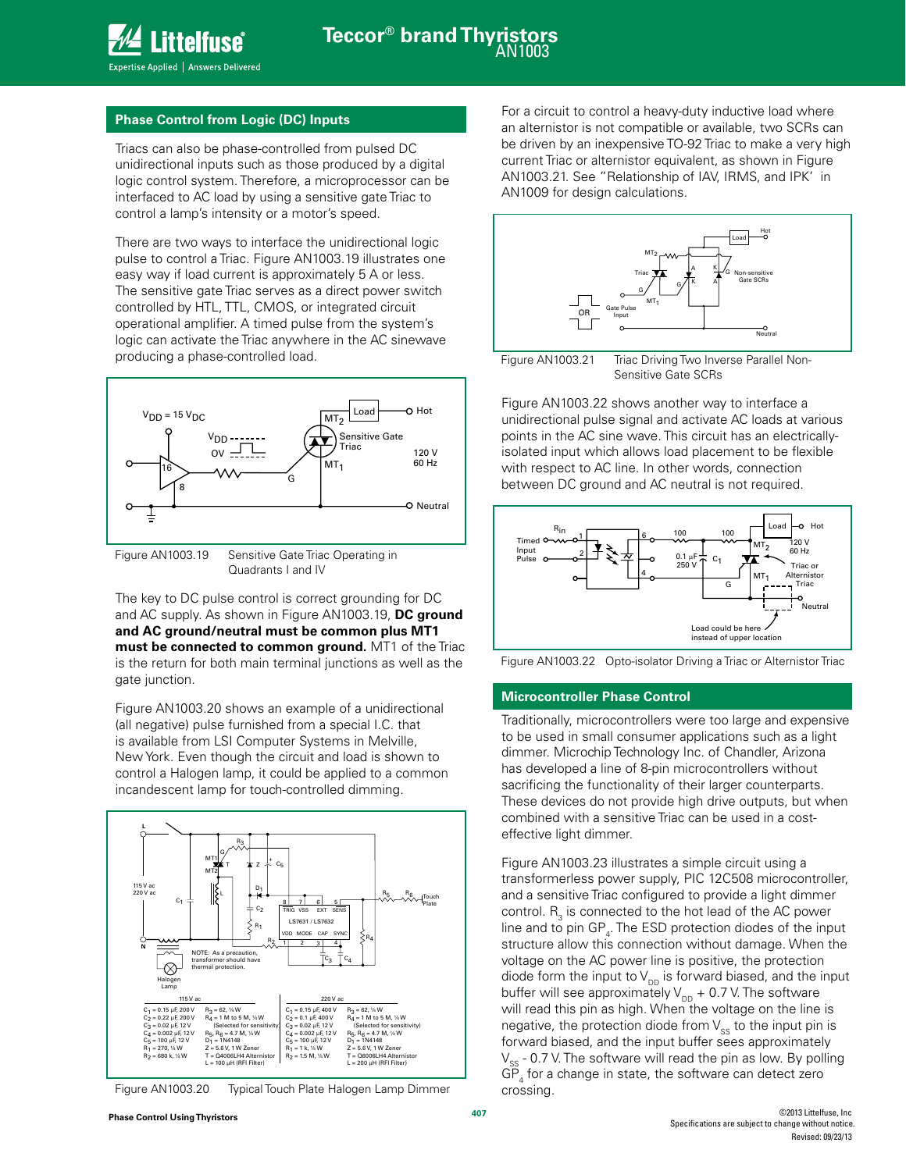### **Phase Control from Logic (DC) Inputs**

Triacs can also be phase-controlled from pulsed DC unidirectional inputs such as those produced by a digital logic control system. Therefore, a microprocessor can be interfaced to AC load by using a sensitive gate Triac to control a lamp's intensity or a motor's speed.

There are two ways to interface the unidirectional logic pulse to control a Triac. Figure AN1003.19 illustrates one easy way if load current is approximately 5 A or less. The sensitive gate Triac serves as a direct power switch controlled by HTL, TTL, CMOS, or integrated circuit operational amplifier. A timed pulse from the system's logic can activate the Triac anywhere in the AC sinewave producing a phase-controlled load.



Figure AN1003.19 Sensitive Gate Triac Operating in Quadrants I and IV

The key to DC pulse control is correct grounding for DC and AC supply. As shown in Figure AN1003.19, **DC ground and AC ground/neutral must be common plus MT1 must be connected to common ground.** MT1 of the Triac is the return for both main terminal junctions as well as the gate junction.

Figure AN1003.20 shows an example of a unidirectional (all negative) pulse furnished from a special I.C. that is available from LSI Computer Systems in Melville, New York. Even though the circuit and load is shown to control a Halogen lamp, it could be applied to a common incandescent lamp for touch-controlled dimming.



Figure AN1003.20 Typical Touch Plate Halogen Lamp Dimmer

For a circuit to control a heavy-duty inductive load where an alternistor is not compatible or available, two SCRs can be driven by an inexpensive TO-92 Triac to make a very high current Triac or alternistor equivalent, as shown in Figure AN1003.21. See "Relationship of IAV, IRMS, and IPK' in AN1009 for design calculations.



Figure AN1003.21 Triac Driving Two Inverse Parallel Non-Sensitive Gate SCRs

Figure AN1003.22 shows another way to interface a unidirectional pulse signal and activate AC loads at various points in the AC sine wave. This circuit has an electricallyisolated input which allows load placement to be flexible with respect to AC line. In other words, connection between DC ground and AC neutral is not required.





### **Microcontroller Phase Control**

Traditionally, microcontrollers were too large and expensive to be used in small consumer applications such as a light dimmer. Microchip Technology Inc. of Chandler, Arizona has developed a line of 8-pin microcontrollers without sacrificing the functionality of their larger counterparts. These devices do not provide high drive outputs, but when combined with a sensitive Triac can be used in a costeffective light dimmer.

Figure AN1003.23 illustrates a simple circuit using a transformerless power supply, PIC 12C508 microcontroller, and a sensitive Triac configured to provide a light dimmer control.  $\mathsf{R}_{_{\!3}}$  is connected to the hot lead of the AC power line and to pin  $\text{GP}_4$ . The ESD protection diodes of the input structure allow this connection without damage. When the voltage on the AC power line is positive, the protection diode form the input to  $V_{DD}$  is forward biased, and the input buffer will see approximately  $V_{\text{DD}} + 0.7$  V. The software will read this pin as high. When the voltage on the line is negative, the protection diode from  $V_{ss}$  to the input pin is forward biased, and the input buffer sees approximately  $V_{ss}$  - 0.7 V. The software will read the pin as low. By polling  $GP_4$  for a change in state, the software can detect zero crossing.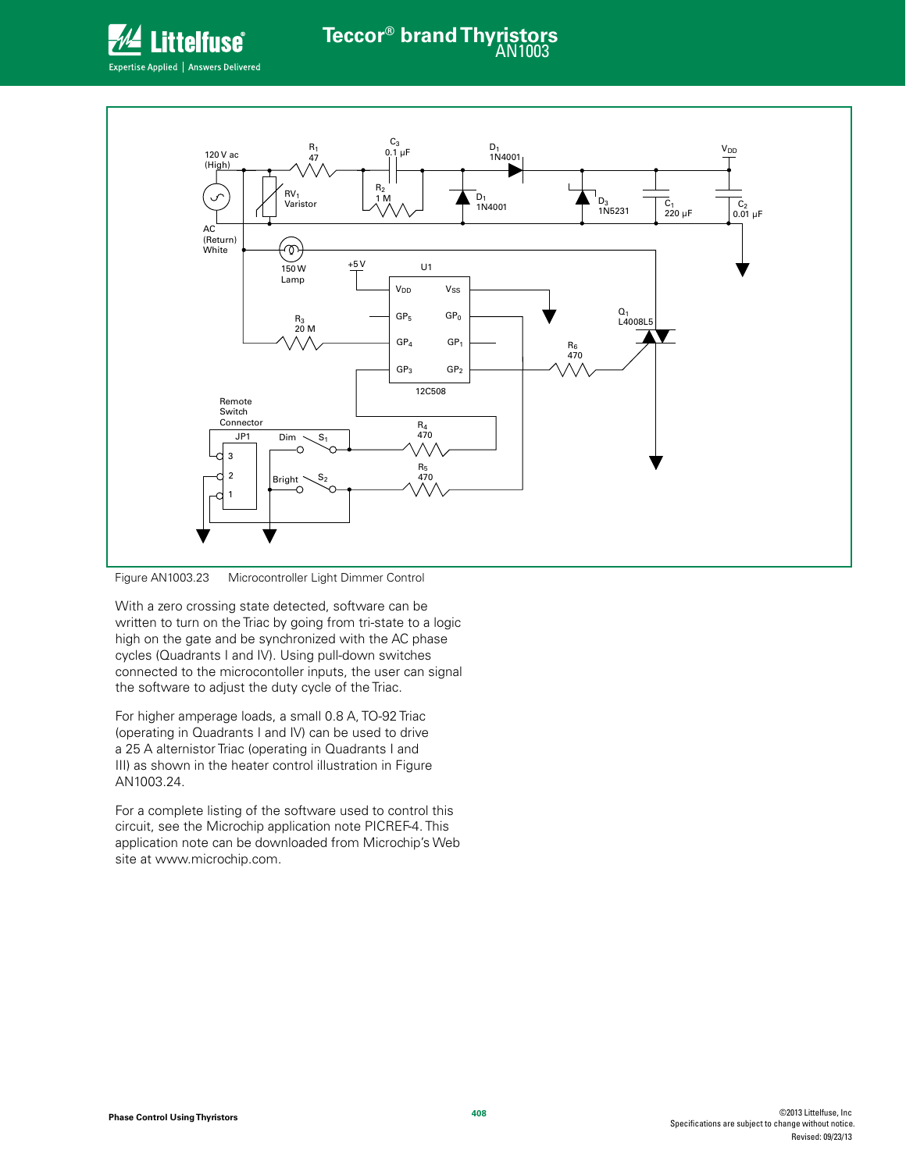



Figure AN1003.23 Microcontroller Light Dimmer Control

With a zero crossing state detected, software can be written to turn on the Triac by going from tri-state to a logic high on the gate and be synchronized with the AC phase cycles (Quadrants I and IV). Using pull-down switches connected to the microcontoller inputs, the user can signal the software to adjust the duty cycle of the Triac.

For higher amperage loads, a small 0.8 A, TO-92 Triac (operating in Quadrants I and IV) can be used to drive a 25 A alternistor Triac (operating in Quadrants I and III) as shown in the heater control illustration in Figure AN1003.24.

For a complete listing of the software used to control this circuit, see the Microchip application note PICREF-4. This application note can be downloaded from Microchip's Web site at www.microchip.com.